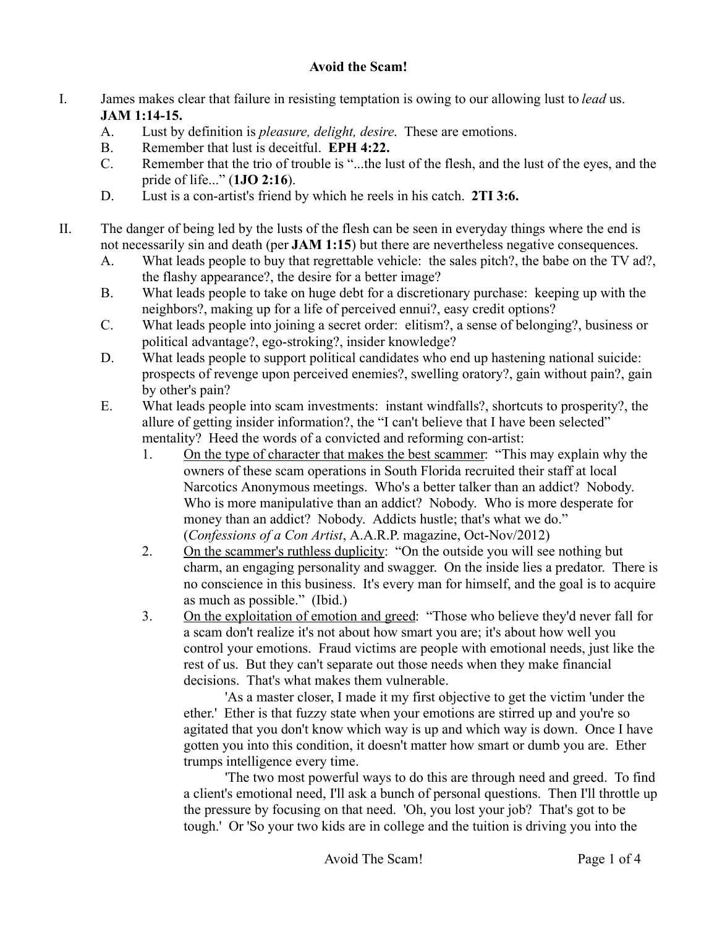## **Avoid the Scam!**

- I. James makes clear that failure in resisting temptation is owing to our allowing lust to *lead* us. **JAM 1:14-15.**
	- A. Lust by definition is *pleasure, delight, desire*. These are emotions.
	- B. Remember that lust is deceitful. **EPH 4:22.**
	- C. Remember that the trio of trouble is "...the lust of the flesh, and the lust of the eyes, and the pride of life..." (**1JO 2:16**).
	- D. Lust is a con-artist's friend by which he reels in his catch. **2TI 3:6.**
- II. The danger of being led by the lusts of the flesh can be seen in everyday things where the end is not necessarily sin and death (per **JAM 1:15**) but there are nevertheless negative consequences.
	- A. What leads people to buy that regrettable vehicle: the sales pitch?, the babe on the TV ad?, the flashy appearance?, the desire for a better image?
	- B. What leads people to take on huge debt for a discretionary purchase: keeping up with the neighbors?, making up for a life of perceived ennui?, easy credit options?
	- C. What leads people into joining a secret order: elitism?, a sense of belonging?, business or political advantage?, ego-stroking?, insider knowledge?
	- D. What leads people to support political candidates who end up hastening national suicide: prospects of revenge upon perceived enemies?, swelling oratory?, gain without pain?, gain by other's pain?
	- E. What leads people into scam investments: instant windfalls?, shortcuts to prosperity?, the allure of getting insider information?, the "I can't believe that I have been selected" mentality? Heed the words of a convicted and reforming con-artist:
		- 1. On the type of character that makes the best scammer: "This may explain why the owners of these scam operations in South Florida recruited their staff at local Narcotics Anonymous meetings. Who's a better talker than an addict? Nobody. Who is more manipulative than an addict? Nobody. Who is more desperate for money than an addict? Nobody. Addicts hustle; that's what we do." (*Confessions of a Con Artist*, A.A.R.P. magazine, Oct-Nov/2012)
		- 2. On the scammer's ruthless duplicity: "On the outside you will see nothing but charm, an engaging personality and swagger. On the inside lies a predator. There is no conscience in this business. It's every man for himself, and the goal is to acquire as much as possible." (Ibid.)
		- 3. On the exploitation of emotion and greed: "Those who believe they'd never fall for a scam don't realize it's not about how smart you are; it's about how well you control your emotions. Fraud victims are people with emotional needs, just like the rest of us. But they can't separate out those needs when they make financial decisions. That's what makes them vulnerable.

'As a master closer, I made it my first objective to get the victim 'under the ether.' Ether is that fuzzy state when your emotions are stirred up and you're so agitated that you don't know which way is up and which way is down. Once I have gotten you into this condition, it doesn't matter how smart or dumb you are. Ether trumps intelligence every time.

'The two most powerful ways to do this are through need and greed. To find a client's emotional need, I'll ask a bunch of personal questions. Then I'll throttle up the pressure by focusing on that need. 'Oh, you lost your job? That's got to be tough.' Or 'So your two kids are in college and the tuition is driving you into the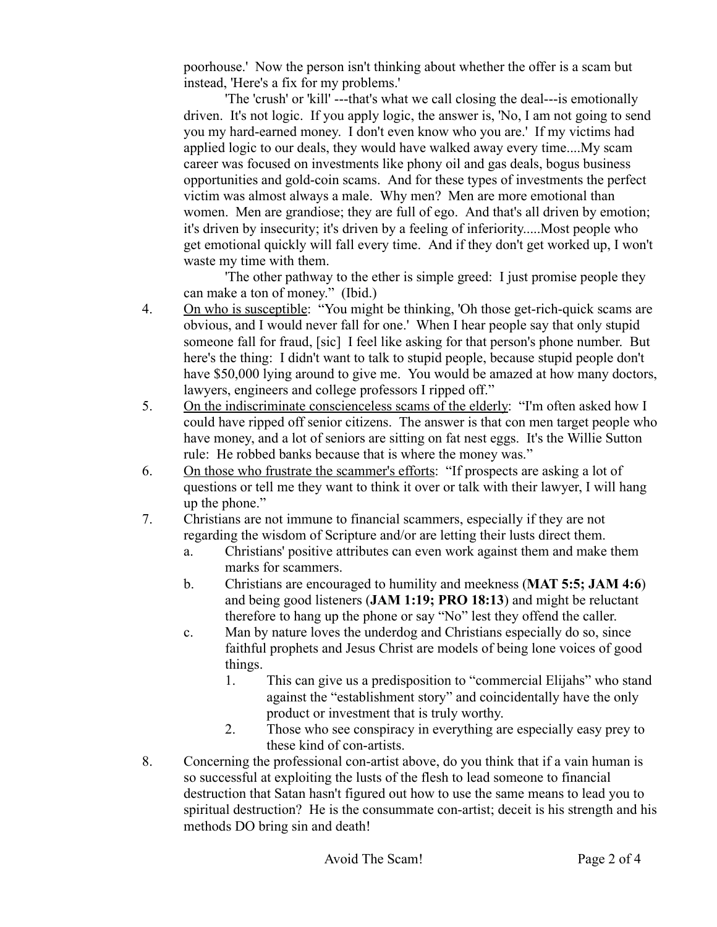poorhouse.' Now the person isn't thinking about whether the offer is a scam but instead, 'Here's a fix for my problems.'

'The 'crush' or 'kill' ---that's what we call closing the deal---is emotionally driven. It's not logic. If you apply logic, the answer is, 'No, I am not going to send you my hard-earned money. I don't even know who you are.' If my victims had applied logic to our deals, they would have walked away every time....My scam career was focused on investments like phony oil and gas deals, bogus business opportunities and gold-coin scams. And for these types of investments the perfect victim was almost always a male. Why men? Men are more emotional than women. Men are grandiose; they are full of ego. And that's all driven by emotion; it's driven by insecurity; it's driven by a feeling of inferiority.....Most people who get emotional quickly will fall every time. And if they don't get worked up, I won't waste my time with them.

'The other pathway to the ether is simple greed: I just promise people they can make a ton of money." (Ibid.)

- 4. On who is susceptible: "You might be thinking, 'Oh those get-rich-quick scams are obvious, and I would never fall for one.' When I hear people say that only stupid someone fall for fraud, [sic] I feel like asking for that person's phone number. But here's the thing: I didn't want to talk to stupid people, because stupid people don't have \$50,000 lying around to give me. You would be amazed at how many doctors, lawyers, engineers and college professors I ripped off."
- 5. On the indiscriminate conscienceless scams of the elderly: "I'm often asked how I could have ripped off senior citizens. The answer is that con men target people who have money, and a lot of seniors are sitting on fat nest eggs. It's the Willie Sutton rule: He robbed banks because that is where the money was."
- 6. On those who frustrate the scammer's efforts: "If prospects are asking a lot of questions or tell me they want to think it over or talk with their lawyer, I will hang up the phone."
- 7. Christians are not immune to financial scammers, especially if they are not regarding the wisdom of Scripture and/or are letting their lusts direct them.
	- a. Christians' positive attributes can even work against them and make them marks for scammers.
	- b. Christians are encouraged to humility and meekness (**MAT 5:5; JAM 4:6**) and being good listeners (**JAM 1:19; PRO 18:13**) and might be reluctant therefore to hang up the phone or say "No" lest they offend the caller.
	- c. Man by nature loves the underdog and Christians especially do so, since faithful prophets and Jesus Christ are models of being lone voices of good things.
		- 1. This can give us a predisposition to "commercial Elijahs" who stand against the "establishment story" and coincidentally have the only product or investment that is truly worthy.
		- 2. Those who see conspiracy in everything are especially easy prey to these kind of con-artists.
- 8. Concerning the professional con-artist above, do you think that if a vain human is so successful at exploiting the lusts of the flesh to lead someone to financial destruction that Satan hasn't figured out how to use the same means to lead you to spiritual destruction? He is the consummate con-artist; deceit is his strength and his methods DO bring sin and death!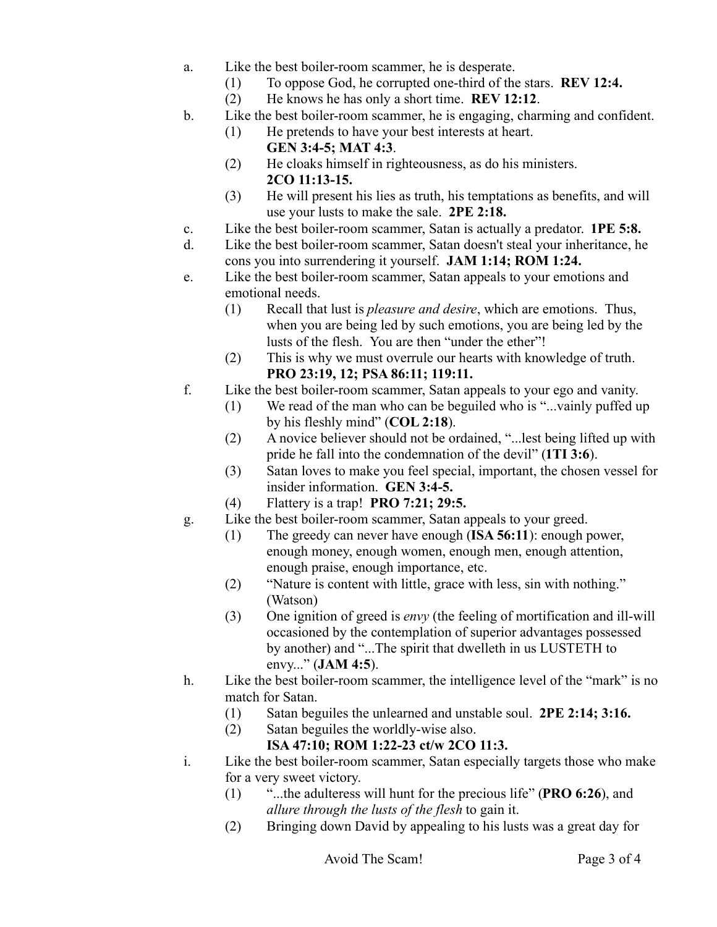- a. Like the best boiler-room scammer, he is desperate.
	- (1) To oppose God, he corrupted one-third of the stars. **REV 12:4.**
	- (2) He knows he has only a short time. **REV 12:12**.
- b. Like the best boiler-room scammer, he is engaging, charming and confident.
	- (1) He pretends to have your best interests at heart.
		- **GEN 3:4-5; MAT 4:3**.
		- (2) He cloaks himself in righteousness, as do his ministers. **2CO 11:13-15.**
	- (3) He will present his lies as truth, his temptations as benefits, and will use your lusts to make the sale. **2PE 2:18.**
- c. Like the best boiler-room scammer, Satan is actually a predator. **1PE 5:8.**
- d. Like the best boiler-room scammer, Satan doesn't steal your inheritance, he cons you into surrendering it yourself. **JAM 1:14; ROM 1:24.**
- e. Like the best boiler-room scammer, Satan appeals to your emotions and emotional needs.
	- (1) Recall that lust is *pleasure and desire*, which are emotions. Thus, when you are being led by such emotions, you are being led by the lusts of the flesh. You are then "under the ether"!
	- (2) This is why we must overrule our hearts with knowledge of truth. **PRO 23:19, 12; PSA 86:11; 119:11.**
- f. Like the best boiler-room scammer, Satan appeals to your ego and vanity.
	- (1) We read of the man who can be beguiled who is "...vainly puffed up by his fleshly mind" (**COL 2:18**).
	- (2) A novice believer should not be ordained, "...lest being lifted up with pride he fall into the condemnation of the devil" (**1TI 3:6**).
	- (3) Satan loves to make you feel special, important, the chosen vessel for insider information. **GEN 3:4-5.**
	- (4) Flattery is a trap! **PRO 7:21; 29:5.**
- g. Like the best boiler-room scammer, Satan appeals to your greed.
	- (1) The greedy can never have enough (**ISA 56:11**): enough power, enough money, enough women, enough men, enough attention, enough praise, enough importance, etc.
	- (2) "Nature is content with little, grace with less, sin with nothing." (Watson)
	- (3) One ignition of greed is *envy* (the feeling of mortification and ill-will occasioned by the contemplation of superior advantages possessed by another) and "...The spirit that dwelleth in us LUSTETH to envy..." (**JAM 4:5**).
- h. Like the best boiler-room scammer, the intelligence level of the "mark" is no match for Satan.
	- (1) Satan beguiles the unlearned and unstable soul. **2PE 2:14; 3:16.**
	- (2) Satan beguiles the worldly-wise also.

## **ISA 47:10; ROM 1:22-23 ct/w 2CO 11:3.**

- i. Like the best boiler-room scammer, Satan especially targets those who make for a very sweet victory.
	- (1) "...the adulteress will hunt for the precious life" (**PRO 6:26**), and *allure through the lusts of the flesh* to gain it.
	- (2) Bringing down David by appealing to his lusts was a great day for